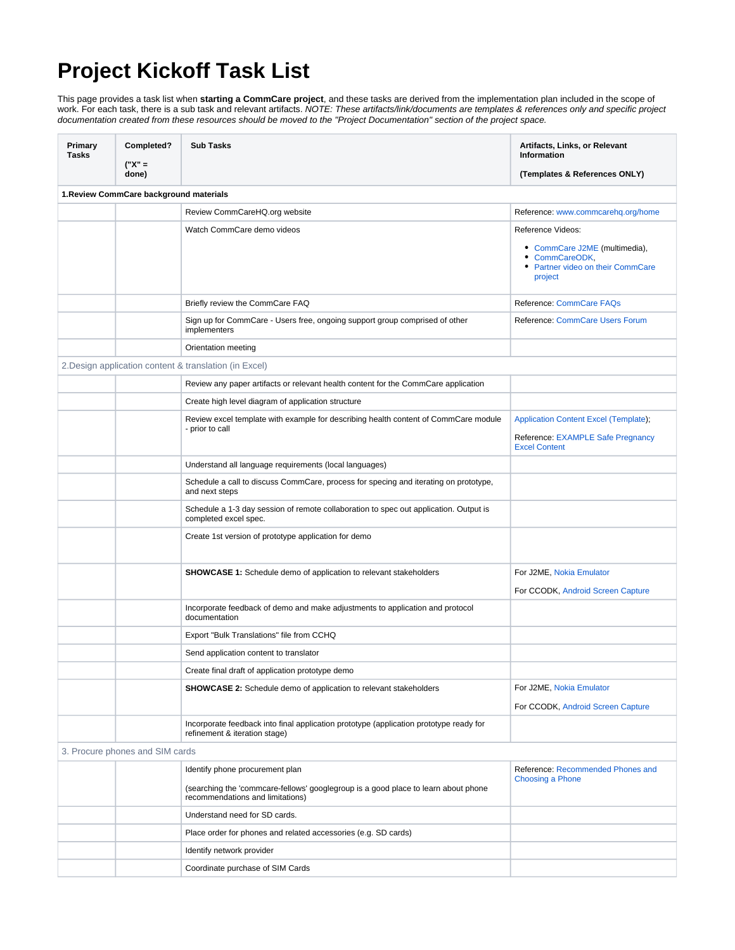## **Project Kickoff Task List**

This page provides a task list when **starting a CommCare project**, and these tasks are derived from the implementation plan included in the scope of work. For each task, there is a sub task and relevant artifacts. NOTE: These artifacts/link/documents are templates & references only and specific project documentation created from these resources should be moved to the "Project Documentation" section of the project space.

| Primary<br>Tasks                        | Completed?<br>("X" =                                   | <b>Sub Tasks</b>                                                                                                        | Artifacts, Links, or Relevant<br>Information                                                    |  |  |
|-----------------------------------------|--------------------------------------------------------|-------------------------------------------------------------------------------------------------------------------------|-------------------------------------------------------------------------------------------------|--|--|
|                                         | done)                                                  |                                                                                                                         | (Templates & References ONLY)                                                                   |  |  |
| 1. Review CommCare background materials |                                                        |                                                                                                                         |                                                                                                 |  |  |
|                                         |                                                        | Review CommCareHQ.org website                                                                                           | Reference: www.commcarehq.org/home                                                              |  |  |
|                                         |                                                        | Watch CommCare demo videos                                                                                              | Reference Videos:                                                                               |  |  |
|                                         |                                                        |                                                                                                                         | • CommCare J2ME (multimedia),<br>• CommCareODK,<br>• Partner video on their CommCare<br>project |  |  |
|                                         |                                                        | Briefly review the CommCare FAQ                                                                                         | Reference: CommCare FAQs                                                                        |  |  |
|                                         |                                                        | Sign up for CommCare - Users free, ongoing support group comprised of other<br>implementers                             | Reference: CommCare Users Forum                                                                 |  |  |
|                                         |                                                        | Orientation meeting                                                                                                     |                                                                                                 |  |  |
|                                         | 2. Design application content & translation (in Excel) |                                                                                                                         |                                                                                                 |  |  |
|                                         |                                                        | Review any paper artifacts or relevant health content for the CommCare application                                      |                                                                                                 |  |  |
|                                         |                                                        | Create high level diagram of application structure                                                                      |                                                                                                 |  |  |
|                                         |                                                        | Review excel template with example for describing health content of CommCare module                                     | <b>Application Content Excel (Template);</b>                                                    |  |  |
|                                         |                                                        | - prior to call                                                                                                         | Reference: EXAMPLE Safe Pregnancy<br><b>Excel Content</b>                                       |  |  |
|                                         |                                                        | Understand all language requirements (local languages)                                                                  |                                                                                                 |  |  |
|                                         |                                                        | Schedule a call to discuss CommCare, process for specing and iterating on prototype,<br>and next steps                  |                                                                                                 |  |  |
|                                         |                                                        | Schedule a 1-3 day session of remote collaboration to spec out application. Output is<br>completed excel spec.          |                                                                                                 |  |  |
|                                         |                                                        | Create 1st version of prototype application for demo                                                                    |                                                                                                 |  |  |
|                                         |                                                        | <b>SHOWCASE 1:</b> Schedule demo of application to relevant stakeholders                                                | For J2ME, Nokia Emulator                                                                        |  |  |
|                                         |                                                        |                                                                                                                         | For CCODK, Android Screen Capture                                                               |  |  |
|                                         |                                                        | Incorporate feedback of demo and make adjustments to application and protocol<br>documentation                          |                                                                                                 |  |  |
|                                         |                                                        | Export "Bulk Translations" file from CCHQ                                                                               |                                                                                                 |  |  |
|                                         |                                                        | Send application content to translator                                                                                  |                                                                                                 |  |  |
|                                         |                                                        | Create final draft of application prototype demo                                                                        |                                                                                                 |  |  |
|                                         |                                                        | <b>SHOWCASE 2:</b> Schedule demo of application to relevant stakeholders                                                | For J2ME, Nokia Emulator                                                                        |  |  |
|                                         |                                                        |                                                                                                                         | For CCODK, Android Screen Capture                                                               |  |  |
|                                         |                                                        | Incorporate feedback into final application prototype (application prototype ready for<br>refinement & iteration stage) |                                                                                                 |  |  |
|                                         | 3. Procure phones and SIM cards                        |                                                                                                                         |                                                                                                 |  |  |
|                                         |                                                        | Identify phone procurement plan                                                                                         | Reference: Recommended Phones and                                                               |  |  |
|                                         |                                                        | (searching the 'commcare-fellows' googlegroup is a good place to learn about phone<br>recommendations and limitations)  | Choosing a Phone                                                                                |  |  |
|                                         |                                                        | Understand need for SD cards.                                                                                           |                                                                                                 |  |  |
|                                         |                                                        | Place order for phones and related accessories (e.g. SD cards)                                                          |                                                                                                 |  |  |
|                                         |                                                        | Identify network provider                                                                                               |                                                                                                 |  |  |
|                                         |                                                        | Coordinate purchase of SIM Cards                                                                                        |                                                                                                 |  |  |